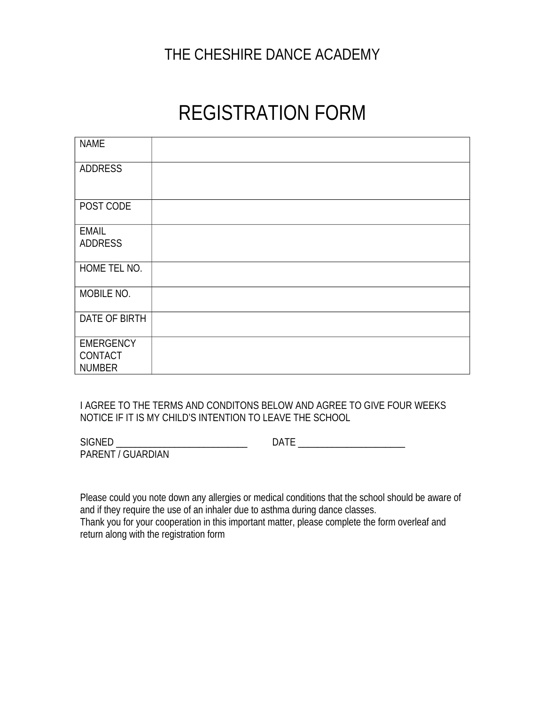## THE CHESHIRE DANCE ACADEMY

# REGISTRATION FORM

| <b>NAME</b>                                         |  |
|-----------------------------------------------------|--|
| <b>ADDRESS</b>                                      |  |
| POST CODE                                           |  |
| <b>EMAIL</b><br><b>ADDRESS</b>                      |  |
| HOME TEL NO.                                        |  |
| MOBILE NO.                                          |  |
| DATE OF BIRTH                                       |  |
| <b>EMERGENCY</b><br><b>CONTACT</b><br><b>NUMBER</b> |  |

I AGREE TO THE TERMS AND CONDITONS BELOW AND AGREE TO GIVE FOUR WEEKS NOTICE IF IT IS MY CHILD'S INTENTION TO LEAVE THE SCHOOL

SIGNED \_\_\_\_\_\_\_\_\_\_\_\_\_\_\_\_\_\_\_\_\_\_\_\_\_\_\_\_\_\_\_ DATE \_\_\_\_\_\_\_\_\_\_\_\_\_\_\_\_\_\_\_\_\_\_\_\_\_\_\_\_\_\_\_\_\_\_\_

PARENT / GUARDIAN

Please could you note down any allergies or medical conditions that the school should be aware of and if they require the use of an inhaler due to asthma during dance classes. Thank you for your cooperation in this important matter, please complete the form overleaf and return along with the registration form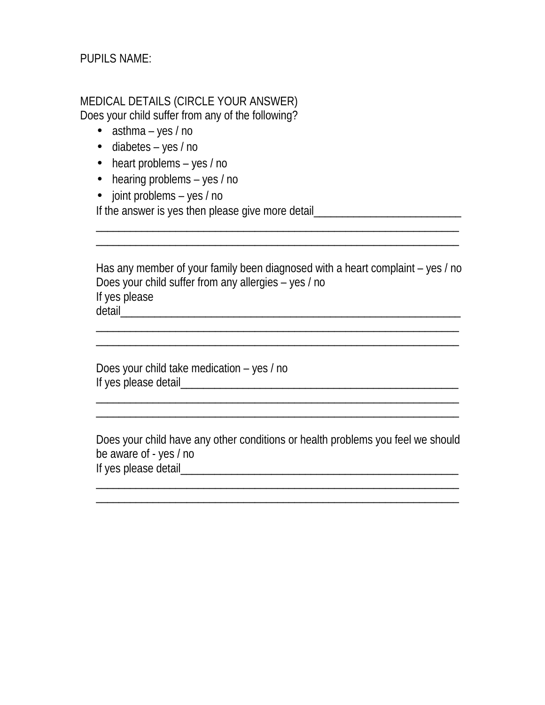PUPILS NAME:

### MEDICAL DETAILS (CIRCLE YOUR ANSWER) Does your child suffer from any of the following?

- $\bullet$  asthma yes / no
- diabetes yes / no
- heart problems yes / no
- hearing problems yes / no
- joint problems yes / no

If the answer is yes then please give more detail\_\_\_\_\_\_\_\_\_\_\_\_\_\_\_\_\_\_\_\_\_\_\_\_\_\_\_\_\_\_\_

Has any member of your family been diagnosed with a heart complaint – yes / no Does your child suffer from any allergies – yes / no If yes please detail\_\_\_\_\_\_\_\_\_\_\_\_\_\_\_\_\_\_\_\_\_\_\_\_\_\_\_\_\_\_\_\_\_\_\_\_\_\_\_\_\_\_\_\_\_\_\_\_\_\_\_\_\_\_\_\_\_\_\_\_

\_\_\_\_\_\_\_\_\_\_\_\_\_\_\_\_\_\_\_\_\_\_\_\_\_\_\_\_\_\_\_\_\_\_\_\_\_\_\_\_\_\_\_\_\_\_\_\_\_\_\_\_\_\_\_\_\_\_\_\_\_\_\_\_

\_\_\_\_\_\_\_\_\_\_\_\_\_\_\_\_\_\_\_\_\_\_\_\_\_\_\_\_\_\_\_\_\_\_\_\_\_\_\_\_\_\_\_\_\_\_\_\_\_\_\_\_\_\_\_\_\_\_\_\_\_\_\_\_

\_\_\_\_\_\_\_\_\_\_\_\_\_\_\_\_\_\_\_\_\_\_\_\_\_\_\_\_\_\_\_\_\_\_\_\_\_\_\_\_\_\_\_\_\_\_\_\_\_\_\_\_\_\_\_\_\_\_\_\_\_\_\_\_  $\mathcal{L}_\text{max}$  , and the contribution of the contribution of the contribution of the contribution of the contribution of the contribution of the contribution of the contribution of the contribution of the contribution of t

Does your child take medication – yes / no If yes please detail\_\_\_\_\_\_\_\_\_\_\_\_\_\_\_\_\_\_\_\_\_\_\_\_\_\_\_\_\_\_\_\_\_\_\_\_\_\_\_\_\_\_\_\_\_\_\_\_\_

Does your child have any other conditions or health problems you feel we should be aware of - yes / no If yes please detail\_\_\_\_\_\_\_\_\_\_\_\_\_\_\_\_\_\_\_\_\_\_\_\_\_\_\_\_\_\_\_\_\_\_\_\_\_\_\_\_\_\_\_\_\_\_\_\_\_

\_\_\_\_\_\_\_\_\_\_\_\_\_\_\_\_\_\_\_\_\_\_\_\_\_\_\_\_\_\_\_\_\_\_\_\_\_\_\_\_\_\_\_\_\_\_\_\_\_\_\_\_\_\_\_\_\_\_\_\_\_\_\_\_  $\mathcal{L}_\text{max}$  , and the contribution of the contribution of the contribution of the contribution of the contribution of the contribution of the contribution of the contribution of the contribution of the contribution of t

 $\mathcal{L}_\text{max}$  , and the contribution of the contribution of the contribution of the contribution of the contribution of the contribution of the contribution of the contribution of the contribution of the contribution of t  $\mathcal{L}_\text{max}$  , and the contribution of the contribution of the contribution of the contribution of the contribution of the contribution of the contribution of the contribution of the contribution of the contribution of t